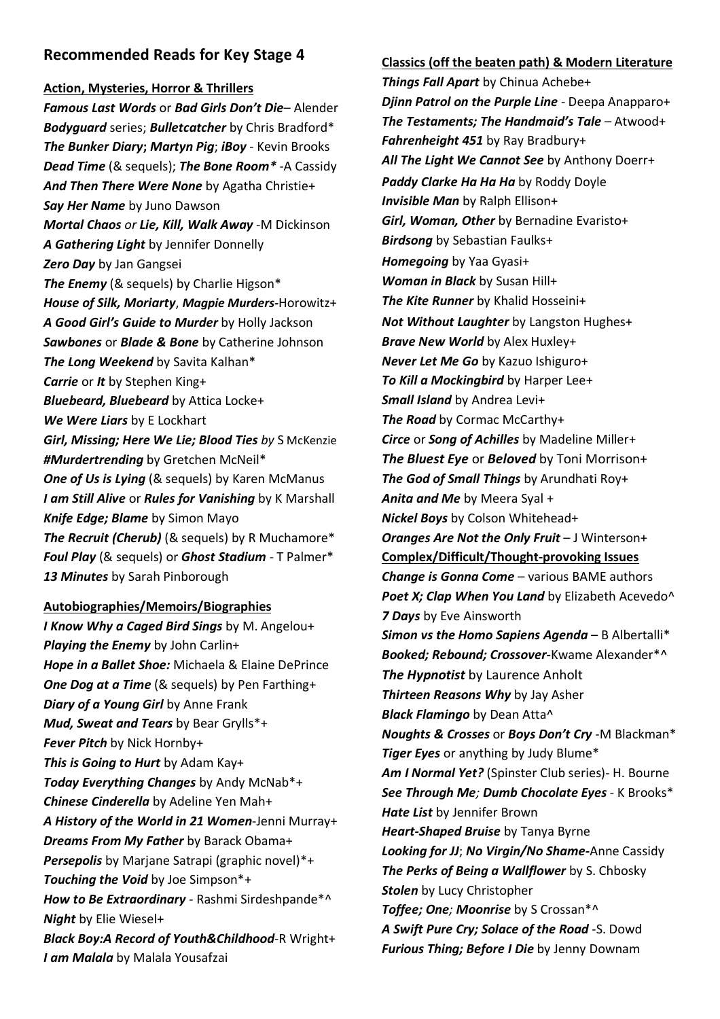# **Recommended Reads for Key Stage 4**

### **Action, Mysteries, Horror & Thrillers**

*Famous Last Words* or *Bad Girls Don't Die*– Alender *Bodyguard* series; *Bulletcatcher* by Chris Bradford\* *The Bunker Diary***;** *Martyn Pig*; *iBoy* - Kevin Brooks *Dead Time* (& sequels); *The Bone Room\** -A Cassidy *And Then There Were None* by Agatha Christie+ *Say Her Name* by Juno Dawson *Mortal Chaos or Lie, Kill, Walk Away -*M Dickinson *A Gathering Light* by Jennifer Donnelly *Zero Day* by Jan Gangsei The Enemy (& sequels) by Charlie Higson\* *House of Silk, Moriarty*, *Magpie Murders-*Horowitz+ *A Good Girl's Guide to Murder* by Holly Jackson *Sawbones* or *Blade & Bone* by Catherine Johnson *The Long Weekend* by Savita Kalhan\* *Carrie* or *It* by Stephen King+ *Bluebeard, Bluebeard* by Attica Locke+ *We Were Liars* by E Lockhart *Girl, Missing; Here We Lie; Blood Ties by* S McKenzie *#Murdertrending* by Gretchen McNeil\* **One of Us is Lying** (& sequels) by Karen McManus *I am Still Alive* or *Rules for Vanishing* by K Marshall *Knife Edge; Blame* by Simon Mayo *The Recruit (Cherub)* (& sequels) by R Muchamore\* *Foul Play* (& sequels) or *Ghost Stadium* - T Palmer\* *13 Minutes* by Sarah Pinborough

### **Autobiographies/Memoirs/Biographies**

*I Know Why a Caged Bird Sings* by M. Angelou+ *Playing the Enemy* by John Carlin+ *Hope in a Ballet Shoe:* Michaela & Elaine DePrince *One Dog at a Time* (& sequels) by Pen Farthing+ *Diary of a Young Girl* by Anne Frank *Mud, Sweat and Tears* by Bear Grylls\*+ *Fever Pitch* by Nick Hornby+ *This is Going to Hurt* by Adam Kay+ *Today Everything Changes* by Andy McNab\*+ *Chinese Cinderella* by Adeline Yen Mah+ *A History of the World in 21 Women*-Jenni Murray+ *Dreams From My Father* by Barack Obama+ *Persepolis* by Marjane Satrapi (graphic novel)\*+ *Touching the Void* by Joe Simpson\*+ *How to Be Extraordinary* - Rashmi Sirdeshpande\*^ *Night* by Elie Wiesel+ *Black Boy:A Record of Youth&Childhood*-R Wright+ *I am Malala* by Malala Yousafzai

## **Classics (off the beaten path) & Modern Literature**

*Things Fall Apart* by Chinua Achebe+ *Djinn Patrol on the Purple Line* - Deepa Anapparo+ *The Testaments; The Handmaid's Tale* – Atwood+ *Fahrenheight 451* by Ray Bradbury+ *All The Light We Cannot See* by Anthony Doerr+ *Paddy Clarke Ha Ha Ha* by Roddy Doyle *Invisible Man* by Ralph Ellison+ *Girl, Woman, Other* by Bernadine Evaristo+ *Birdsong* by Sebastian Faulks+ *Homegoing* by Yaa Gyasi+ *Woman in Black* by Susan Hill+ *The Kite Runner* by Khalid Hosseini+ *Not Without Laughter* by Langston Hughes+ *Brave New World* by Alex Huxley+ *Never Let Me Go* by Kazuo Ishiguro+ *To Kill a Mockingbird* by Harper Lee+ *Small Island* by Andrea Levi+ *The Road* by Cormac McCarthy+ *Circe* or *Song of Achilles* by Madeline Miller+ *The Bluest Eye* or *Beloved* by Toni Morrison+ *The God of Small Things* by Arundhati Roy+ *Anita and Me* by Meera Syal + *Nickel Boys* by Colson Whitehead+ *Oranges Are Not the Only Fruit* – J Winterson+ **Complex/Difficult/Thought-provoking Issues** *Change is Gonna Come – various BAME authors* Poet X; Clap When You Land by Elizabeth Acevedo<sup>^</sup> *7 Days* by Eve Ainsworth *Simon vs the Homo Sapiens Agenda* – B Albertalli\* *Booked; Rebound; Crossover-*Kwame Alexander\*^ *The Hypnotist* by Laurence Anholt *Thirteen Reasons Why* by Jay Asher *Black Flamingo* by Dean Atta^ *Noughts & Crosses* or *Boys Don't Cry* -M Blackman\* *Tiger Eyes* or anything by Judy Blume\* *Am I Normal Yet?* (Spinster Club series)- H. Bourne *See Through Me; Dumb Chocolate Eyes* - K Brooks\* *Hate List* by Jennifer Brown *Heart-Shaped Bruise* by Tanya Byrne *Looking for JJ*; *No Virgin/No Shame-*Anne Cassidy *The Perks of Being a Wallflower* by S. Chbosky *Stolen* by Lucy Christopher *Toffee; One; Moonrise* by S Crossan\*^ *A Swift Pure Cry; Solace of the Road* -S. Dowd *Furious Thing; Before I Die* by Jenny Downam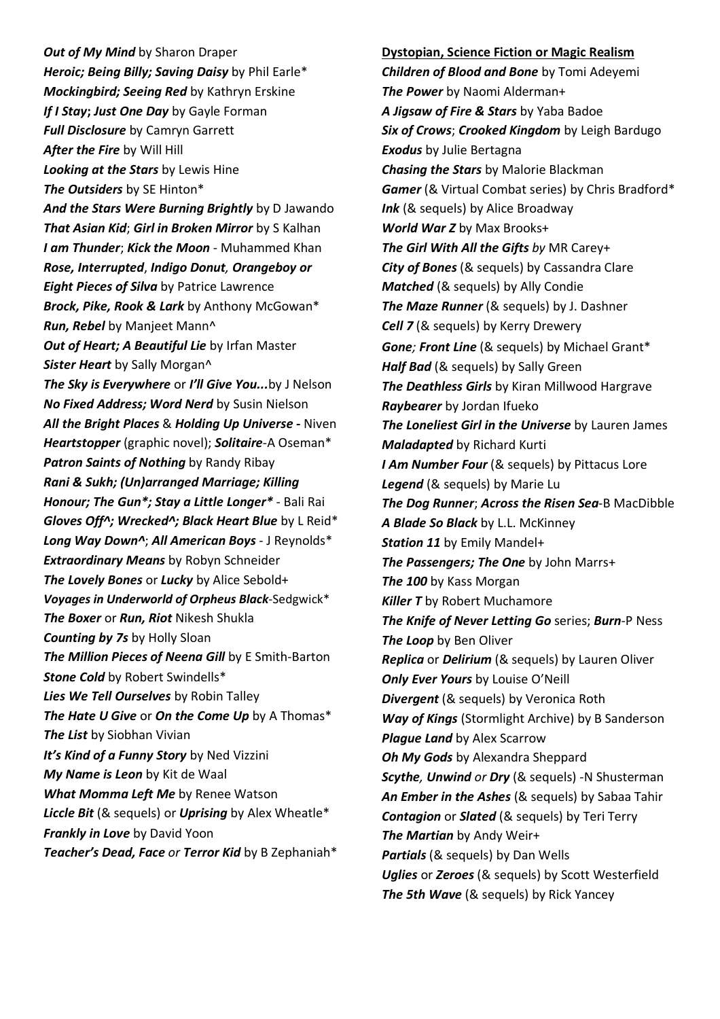**Out of My Mind** by Sharon Draper *Heroic; Being Billy; Saving Daisy* by Phil Earle\* *Mockingbird; Seeing Red* by Kathryn Erskine *If I Stay***;** *Just One Day* by Gayle Forman *Full Disclosure* by Camryn Garrett *After the Fire* by Will Hill *Looking at the Stars* by Lewis Hine *The Outsiders* by SE Hinton\* *And the Stars Were Burning Brightly* by D Jawando *That Asian Kid*; *Girl in Broken Mirror* by S Kalhan *I am Thunder*; *Kick the Moon* - Muhammed Khan *Rose, Interrupted*, *Indigo Donut, Orangeboy or Eight Pieces of Silva* by Patrice Lawrence *Brock, Pike, Rook & Lark* by Anthony McGowan\* *Run, Rebel* by Manjeet Mann^ *Out of Heart; A Beautiful Lie* by Irfan Master *Sister Heart* by Sally Morgan^ *The Sky is Everywhere* or *I'll Give You...*by J Nelson *No Fixed Address; Word Nerd* by Susin Nielson *All the Bright Places* & *Holding Up Universe -* Niven *Heartstopper* (graphic novel); *Solitaire*-A Oseman\* *Patron Saints of Nothing* by Randy Ribay *Rani & Sukh; (Un)arranged Marriage; Killing Honour; The Gun\*; Stay a Little Longer\** - Bali Rai Gloves Off<sup>^</sup>; Wrecked<sup>^</sup>; Black Heart Blue by L Reid<sup>\*</sup> *Long Way Down^*; *All American Boys* - J Reynolds\* *Extraordinary Means* by Robyn Schneider *The Lovely Bones* or *Lucky* by Alice Sebold+ *Voyages in Underworld of Orpheus Black*-Sedgwick\* *The Boxer* or *Run, Riot* Nikesh Shukla *Counting by 7s* by Holly Sloan *The Million Pieces of Neena Gill* by E Smith-Barton *Stone Cold* by Robert Swindells\* *Lies We Tell Ourselves* by Robin Talley *The Hate U Give* or *On the Come Up* by A Thomas\* *The List* by Siobhan Vivian *It's Kind of a Funny Story* by Ned Vizzini *My Name is Leon* by Kit de Waal *What Momma Left Me* by Renee Watson *Liccle Bit* (& sequels) or *Uprising* by Alex Wheatle\* *Frankly in Love* by David Yoon *Teacher's Dead, Face or Terror Kid* by B Zephaniah\*

**Dystopian, Science Fiction or Magic Realism** *Children of Blood and Bone* by Tomi Adeyemi *The Power* by Naomi Alderman+ *A Jigsaw of Fire & Stars* by Yaba Badoe *Six of Crows*; *Crooked Kingdom* by Leigh Bardugo *Exodus* by Julie Bertagna *Chasing the Stars* by Malorie Blackman *Gamer* (& Virtual Combat series) by Chris Bradford\* *Ink* (& sequels) by Alice Broadway *World War Z* by Max Brooks+ *The Girl With All the Gifts by* MR Carey+ *City of Bones* (& sequels) by Cassandra Clare *Matched* (& sequels) by Ally Condie *The Maze Runner* (& sequels) by J. Dashner *Cell 7* (& sequels) by Kerry Drewery *Gone; Front Line* (& sequels) by Michael Grant\* *Half Bad* (& sequels) by Sally Green *The Deathless Girls* by Kiran Millwood Hargrave *Raybearer* by Jordan Ifueko *The Loneliest Girl in the Universe* by Lauren James *Maladapted* by Richard Kurti *I Am Number Four* (& sequels) by Pittacus Lore *Legend* (& sequels) by Marie Lu *The Dog Runner*; *Across the Risen Sea*-B MacDibble *A Blade So Black* by L.L. McKinney *Station 11* by Emily Mandel+ *The Passengers; The One* by John Marrs+ *The 100* by Kass Morgan *Killer T* by Robert Muchamore *The Knife of Never Letting Go* series; *Burn*-P Ness *The Loop* by Ben Oliver *Replica* or *Delirium* (& sequels) by Lauren Oliver *Only Ever Yours* by Louise O'Neill *Divergent* (& sequels) by Veronica Roth *Way of Kings* (Stormlight Archive) by B Sanderson *Plague Land by Alex Scarrow Oh My Gods* by Alexandra Sheppard *Scythe, Unwind or Dry* (& sequels) -N Shusterman *An Ember in the Ashes* (& sequels) by Sabaa Tahir *Contagion* or *Slated* (& sequels) by Teri Terry *The Martian* by Andy Weir+ *Partials* (& sequels) by Dan Wells *Uglies* or *Zeroes* (& sequels) by Scott Westerfield *The 5th Wave* (& sequels) by Rick Yancey